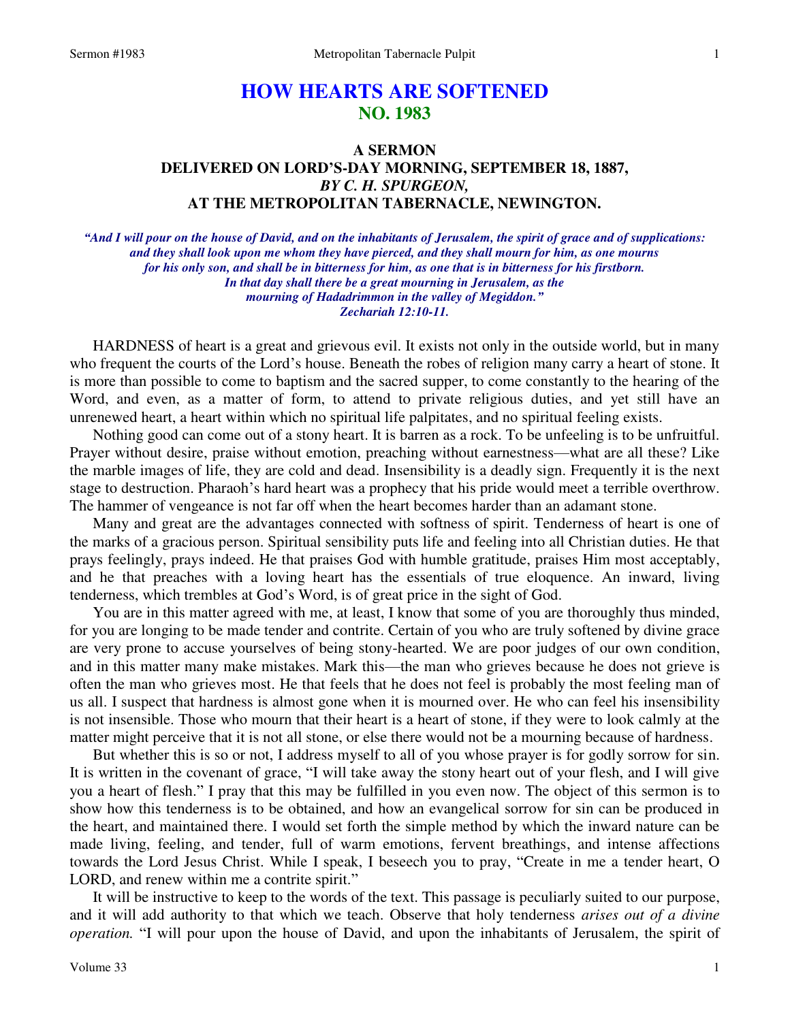# **HOW HEARTS ARE SOFTENED NO. 1983**

## **A SERMON DELIVERED ON LORD'S-DAY MORNING, SEPTEMBER 18, 1887,**  *BY C. H. SPURGEON,*  **AT THE METROPOLITAN TABERNACLE, NEWINGTON.**

*"And I will pour on the house of David, and on the inhabitants of Jerusalem, the spirit of grace and of supplications: and they shall look upon me whom they have pierced, and they shall mourn for him, as one mourns for his only son, and shall be in bitterness for him, as one that is in bitterness for his firstborn. In that day shall there be a great mourning in Jerusalem, as the mourning of Hadadrimmon in the valley of Megiddon." Zechariah 12:10-11.*

HARDNESS of heart is a great and grievous evil. It exists not only in the outside world, but in many who frequent the courts of the Lord's house. Beneath the robes of religion many carry a heart of stone. It is more than possible to come to baptism and the sacred supper, to come constantly to the hearing of the Word, and even, as a matter of form, to attend to private religious duties, and yet still have an unrenewed heart, a heart within which no spiritual life palpitates, and no spiritual feeling exists.

Nothing good can come out of a stony heart. It is barren as a rock. To be unfeeling is to be unfruitful. Prayer without desire, praise without emotion, preaching without earnestness—what are all these? Like the marble images of life, they are cold and dead. Insensibility is a deadly sign. Frequently it is the next stage to destruction. Pharaoh's hard heart was a prophecy that his pride would meet a terrible overthrow. The hammer of vengeance is not far off when the heart becomes harder than an adamant stone.

Many and great are the advantages connected with softness of spirit. Tenderness of heart is one of the marks of a gracious person. Spiritual sensibility puts life and feeling into all Christian duties. He that prays feelingly, prays indeed. He that praises God with humble gratitude, praises Him most acceptably, and he that preaches with a loving heart has the essentials of true eloquence. An inward, living tenderness, which trembles at God's Word, is of great price in the sight of God.

You are in this matter agreed with me, at least, I know that some of you are thoroughly thus minded, for you are longing to be made tender and contrite. Certain of you who are truly softened by divine grace are very prone to accuse yourselves of being stony-hearted. We are poor judges of our own condition, and in this matter many make mistakes. Mark this—the man who grieves because he does not grieve is often the man who grieves most. He that feels that he does not feel is probably the most feeling man of us all. I suspect that hardness is almost gone when it is mourned over. He who can feel his insensibility is not insensible. Those who mourn that their heart is a heart of stone, if they were to look calmly at the matter might perceive that it is not all stone, or else there would not be a mourning because of hardness.

But whether this is so or not, I address myself to all of you whose prayer is for godly sorrow for sin. It is written in the covenant of grace, "I will take away the stony heart out of your flesh, and I will give you a heart of flesh." I pray that this may be fulfilled in you even now. The object of this sermon is to show how this tenderness is to be obtained, and how an evangelical sorrow for sin can be produced in the heart, and maintained there. I would set forth the simple method by which the inward nature can be made living, feeling, and tender, full of warm emotions, fervent breathings, and intense affections towards the Lord Jesus Christ. While I speak, I beseech you to pray, "Create in me a tender heart, O LORD, and renew within me a contrite spirit."

It will be instructive to keep to the words of the text. This passage is peculiarly suited to our purpose, and it will add authority to that which we teach. Observe that holy tenderness *arises out of a divine operation.* "I will pour upon the house of David, and upon the inhabitants of Jerusalem, the spirit of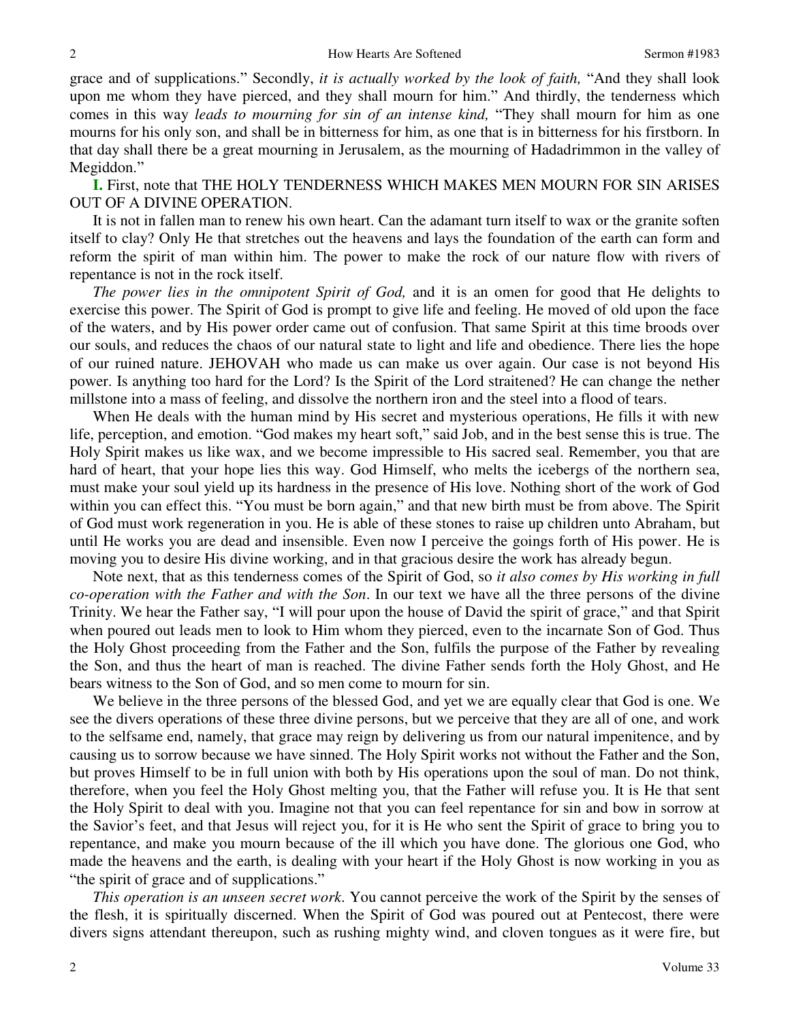grace and of supplications." Secondly, *it is actually worked by the look of faith,* "And they shall look upon me whom they have pierced, and they shall mourn for him." And thirdly, the tenderness which comes in this way *leads to mourning for sin of an intense kind,* "They shall mourn for him as one mourns for his only son, and shall be in bitterness for him, as one that is in bitterness for his firstborn. In that day shall there be a great mourning in Jerusalem, as the mourning of Hadadrimmon in the valley of Megiddon."

**I.** First, note that THE HOLY TENDERNESS WHICH MAKES MEN MOURN FOR SIN ARISES OUT OF A DIVINE OPERATION.

It is not in fallen man to renew his own heart. Can the adamant turn itself to wax or the granite soften itself to clay? Only He that stretches out the heavens and lays the foundation of the earth can form and reform the spirit of man within him. The power to make the rock of our nature flow with rivers of repentance is not in the rock itself.

*The power lies in the omnipotent Spirit of God,* and it is an omen for good that He delights to exercise this power. The Spirit of God is prompt to give life and feeling. He moved of old upon the face of the waters, and by His power order came out of confusion. That same Spirit at this time broods over our souls, and reduces the chaos of our natural state to light and life and obedience. There lies the hope of our ruined nature. JEHOVAH who made us can make us over again. Our case is not beyond His power. Is anything too hard for the Lord? Is the Spirit of the Lord straitened? He can change the nether millstone into a mass of feeling, and dissolve the northern iron and the steel into a flood of tears.

When He deals with the human mind by His secret and mysterious operations, He fills it with new life, perception, and emotion. "God makes my heart soft," said Job, and in the best sense this is true. The Holy Spirit makes us like wax, and we become impressible to His sacred seal. Remember, you that are hard of heart, that your hope lies this way. God Himself, who melts the icebergs of the northern sea, must make your soul yield up its hardness in the presence of His love. Nothing short of the work of God within you can effect this. "You must be born again," and that new birth must be from above. The Spirit of God must work regeneration in you. He is able of these stones to raise up children unto Abraham, but until He works you are dead and insensible. Even now I perceive the goings forth of His power. He is moving you to desire His divine working, and in that gracious desire the work has already begun.

Note next, that as this tenderness comes of the Spirit of God, so *it also comes by His working in full co-operation with the Father and with the Son*. In our text we have all the three persons of the divine Trinity. We hear the Father say, "I will pour upon the house of David the spirit of grace," and that Spirit when poured out leads men to look to Him whom they pierced, even to the incarnate Son of God. Thus the Holy Ghost proceeding from the Father and the Son, fulfils the purpose of the Father by revealing the Son, and thus the heart of man is reached. The divine Father sends forth the Holy Ghost, and He bears witness to the Son of God, and so men come to mourn for sin.

We believe in the three persons of the blessed God, and yet we are equally clear that God is one. We see the divers operations of these three divine persons, but we perceive that they are all of one, and work to the selfsame end, namely, that grace may reign by delivering us from our natural impenitence, and by causing us to sorrow because we have sinned. The Holy Spirit works not without the Father and the Son, but proves Himself to be in full union with both by His operations upon the soul of man. Do not think, therefore, when you feel the Holy Ghost melting you, that the Father will refuse you. It is He that sent the Holy Spirit to deal with you. Imagine not that you can feel repentance for sin and bow in sorrow at the Savior's feet, and that Jesus will reject you, for it is He who sent the Spirit of grace to bring you to repentance, and make you mourn because of the ill which you have done. The glorious one God, who made the heavens and the earth, is dealing with your heart if the Holy Ghost is now working in you as "the spirit of grace and of supplications."

*This operation is an unseen secret work*. You cannot perceive the work of the Spirit by the senses of the flesh, it is spiritually discerned. When the Spirit of God was poured out at Pentecost, there were divers signs attendant thereupon, such as rushing mighty wind, and cloven tongues as it were fire, but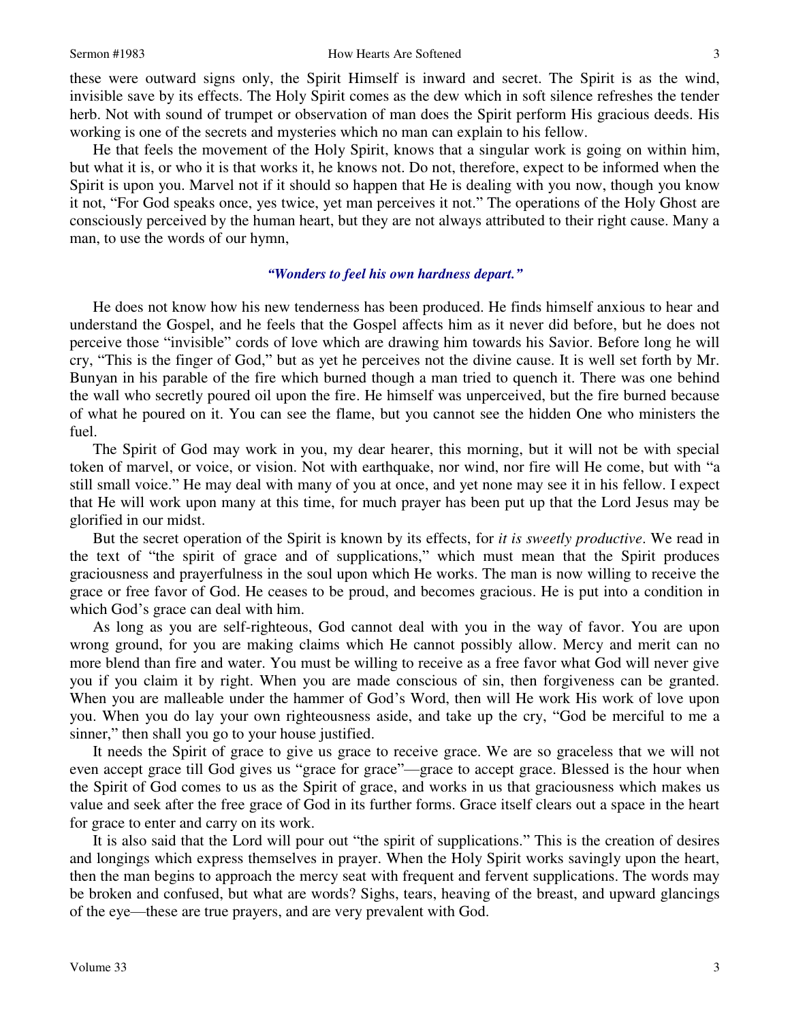#### Sermon #1983 **How Hearts Are Softened** 3

these were outward signs only, the Spirit Himself is inward and secret. The Spirit is as the wind, invisible save by its effects. The Holy Spirit comes as the dew which in soft silence refreshes the tender herb. Not with sound of trumpet or observation of man does the Spirit perform His gracious deeds. His working is one of the secrets and mysteries which no man can explain to his fellow.

He that feels the movement of the Holy Spirit, knows that a singular work is going on within him, but what it is, or who it is that works it, he knows not. Do not, therefore, expect to be informed when the Spirit is upon you. Marvel not if it should so happen that He is dealing with you now, though you know it not, "For God speaks once, yes twice, yet man perceives it not." The operations of the Holy Ghost are consciously perceived by the human heart, but they are not always attributed to their right cause. Many a man, to use the words of our hymn,

## *"Wonders to feel his own hardness depart."*

He does not know how his new tenderness has been produced. He finds himself anxious to hear and understand the Gospel, and he feels that the Gospel affects him as it never did before, but he does not perceive those "invisible" cords of love which are drawing him towards his Savior. Before long he will cry, "This is the finger of God," but as yet he perceives not the divine cause. It is well set forth by Mr. Bunyan in his parable of the fire which burned though a man tried to quench it. There was one behind the wall who secretly poured oil upon the fire. He himself was unperceived, but the fire burned because of what he poured on it. You can see the flame, but you cannot see the hidden One who ministers the fuel.

The Spirit of God may work in you, my dear hearer, this morning, but it will not be with special token of marvel, or voice, or vision. Not with earthquake, nor wind, nor fire will He come, but with "a still small voice." He may deal with many of you at once, and yet none may see it in his fellow. I expect that He will work upon many at this time, for much prayer has been put up that the Lord Jesus may be glorified in our midst.

But the secret operation of the Spirit is known by its effects, for *it is sweetly productive*. We read in the text of "the spirit of grace and of supplications," which must mean that the Spirit produces graciousness and prayerfulness in the soul upon which He works. The man is now willing to receive the grace or free favor of God. He ceases to be proud, and becomes gracious. He is put into a condition in which God's grace can deal with him.

As long as you are self-righteous, God cannot deal with you in the way of favor. You are upon wrong ground, for you are making claims which He cannot possibly allow. Mercy and merit can no more blend than fire and water. You must be willing to receive as a free favor what God will never give you if you claim it by right. When you are made conscious of sin, then forgiveness can be granted. When you are malleable under the hammer of God's Word, then will He work His work of love upon you. When you do lay your own righteousness aside, and take up the cry, "God be merciful to me a sinner," then shall you go to your house justified.

It needs the Spirit of grace to give us grace to receive grace. We are so graceless that we will not even accept grace till God gives us "grace for grace"—grace to accept grace. Blessed is the hour when the Spirit of God comes to us as the Spirit of grace, and works in us that graciousness which makes us value and seek after the free grace of God in its further forms. Grace itself clears out a space in the heart for grace to enter and carry on its work.

It is also said that the Lord will pour out "the spirit of supplications." This is the creation of desires and longings which express themselves in prayer. When the Holy Spirit works savingly upon the heart, then the man begins to approach the mercy seat with frequent and fervent supplications. The words may be broken and confused, but what are words? Sighs, tears, heaving of the breast, and upward glancings of the eye—these are true prayers, and are very prevalent with God.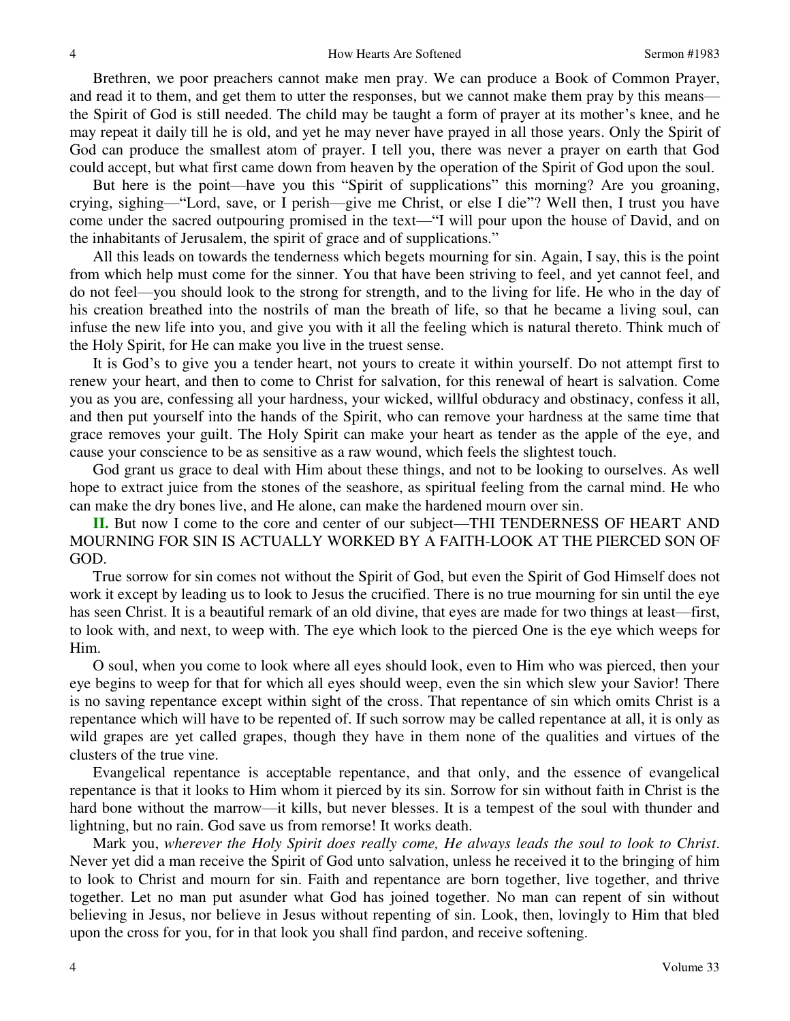Brethren, we poor preachers cannot make men pray. We can produce a Book of Common Prayer, and read it to them, and get them to utter the responses, but we cannot make them pray by this means the Spirit of God is still needed. The child may be taught a form of prayer at its mother's knee, and he may repeat it daily till he is old, and yet he may never have prayed in all those years. Only the Spirit of God can produce the smallest atom of prayer. I tell you, there was never a prayer on earth that God could accept, but what first came down from heaven by the operation of the Spirit of God upon the soul.

But here is the point—have you this "Spirit of supplications" this morning? Are you groaning, crying, sighing—"Lord, save, or I perish—give me Christ, or else I die"? Well then, I trust you have come under the sacred outpouring promised in the text—"I will pour upon the house of David, and on the inhabitants of Jerusalem, the spirit of grace and of supplications."

All this leads on towards the tenderness which begets mourning for sin. Again, I say, this is the point from which help must come for the sinner. You that have been striving to feel, and yet cannot feel, and do not feel—you should look to the strong for strength, and to the living for life. He who in the day of his creation breathed into the nostrils of man the breath of life, so that he became a living soul, can infuse the new life into you, and give you with it all the feeling which is natural thereto. Think much of the Holy Spirit, for He can make you live in the truest sense.

It is God's to give you a tender heart, not yours to create it within yourself. Do not attempt first to renew your heart, and then to come to Christ for salvation, for this renewal of heart is salvation. Come you as you are, confessing all your hardness, your wicked, willful obduracy and obstinacy, confess it all, and then put yourself into the hands of the Spirit, who can remove your hardness at the same time that grace removes your guilt. The Holy Spirit can make your heart as tender as the apple of the eye, and cause your conscience to be as sensitive as a raw wound, which feels the slightest touch.

God grant us grace to deal with Him about these things, and not to be looking to ourselves. As well hope to extract juice from the stones of the seashore, as spiritual feeling from the carnal mind. He who can make the dry bones live, and He alone, can make the hardened mourn over sin.

**II.** But now I come to the core and center of our subject—THI TENDERNESS OF HEART AND MOURNING FOR SIN IS ACTUALLY WORKED BY A FAITH-LOOK AT THE PIERCED SON OF GOD.

True sorrow for sin comes not without the Spirit of God, but even the Spirit of God Himself does not work it except by leading us to look to Jesus the crucified. There is no true mourning for sin until the eye has seen Christ. It is a beautiful remark of an old divine, that eyes are made for two things at least—first, to look with, and next, to weep with. The eye which look to the pierced One is the eye which weeps for Him.

O soul, when you come to look where all eyes should look, even to Him who was pierced, then your eye begins to weep for that for which all eyes should weep, even the sin which slew your Savior! There is no saving repentance except within sight of the cross. That repentance of sin which omits Christ is a repentance which will have to be repented of. If such sorrow may be called repentance at all, it is only as wild grapes are yet called grapes, though they have in them none of the qualities and virtues of the clusters of the true vine.

Evangelical repentance is acceptable repentance, and that only, and the essence of evangelical repentance is that it looks to Him whom it pierced by its sin. Sorrow for sin without faith in Christ is the hard bone without the marrow—it kills, but never blesses. It is a tempest of the soul with thunder and lightning, but no rain. God save us from remorse! It works death.

Mark you, *wherever the Holy Spirit does really come, He always leads the soul to look to Christ*. Never yet did a man receive the Spirit of God unto salvation, unless he received it to the bringing of him to look to Christ and mourn for sin. Faith and repentance are born together, live together, and thrive together. Let no man put asunder what God has joined together. No man can repent of sin without believing in Jesus, nor believe in Jesus without repenting of sin. Look, then, lovingly to Him that bled upon the cross for you, for in that look you shall find pardon, and receive softening.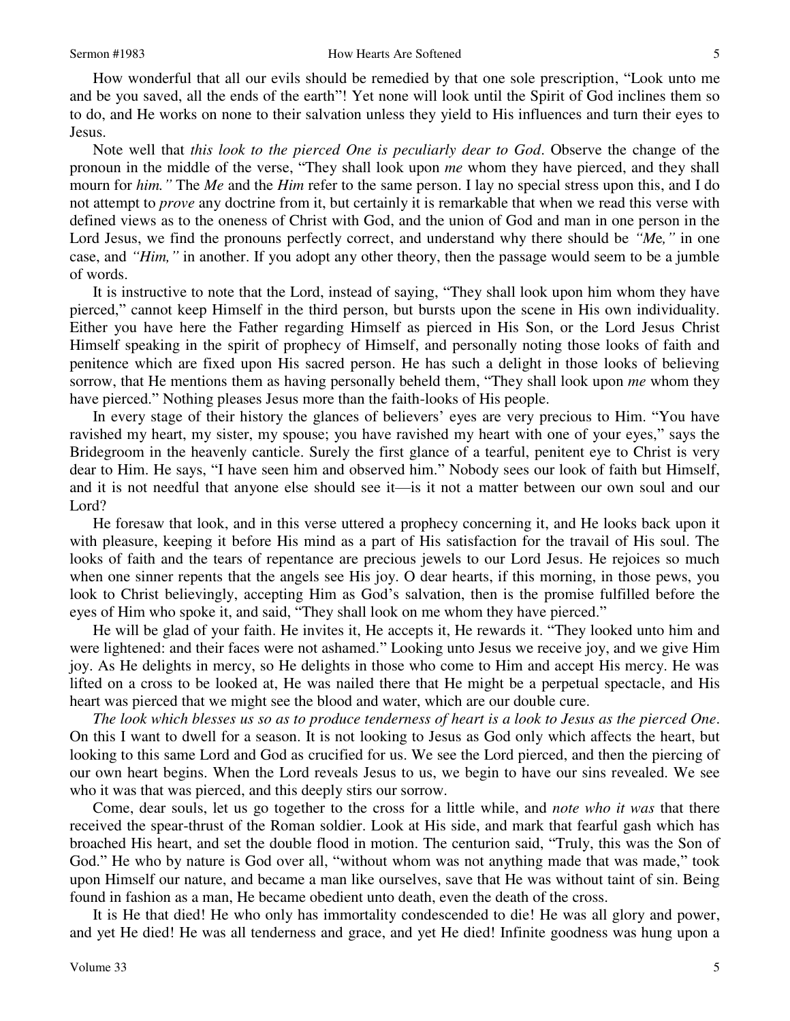How wonderful that all our evils should be remedied by that one sole prescription, "Look unto me and be you saved, all the ends of the earth"! Yet none will look until the Spirit of God inclines them so to do, and He works on none to their salvation unless they yield to His influences and turn their eyes to Jesus.

Note well that *this look to the pierced One is peculiarly dear to God*. Observe the change of the pronoun in the middle of the verse, "They shall look upon *me* whom they have pierced, and they shall mourn for *him."* The *Me* and the *Him* refer to the same person. I lay no special stress upon this, and I do not attempt to *prove* any doctrine from it, but certainly it is remarkable that when we read this verse with defined views as to the oneness of Christ with God, and the union of God and man in one person in the Lord Jesus, we find the pronouns perfectly correct, and understand why there should be *"M*e*,"* in one case, and *"Him,"* in another. If you adopt any other theory, then the passage would seem to be a jumble of words.

It is instructive to note that the Lord, instead of saying, "They shall look upon him whom they have pierced," cannot keep Himself in the third person, but bursts upon the scene in His own individuality. Either you have here the Father regarding Himself as pierced in His Son, or the Lord Jesus Christ Himself speaking in the spirit of prophecy of Himself, and personally noting those looks of faith and penitence which are fixed upon His sacred person. He has such a delight in those looks of believing sorrow, that He mentions them as having personally beheld them, "They shall look upon *me* whom they have pierced." Nothing pleases Jesus more than the faith-looks of His people.

In every stage of their history the glances of believers' eyes are very precious to Him. "You have ravished my heart, my sister, my spouse; you have ravished my heart with one of your eyes," says the Bridegroom in the heavenly canticle. Surely the first glance of a tearful, penitent eye to Christ is very dear to Him. He says, "I have seen him and observed him." Nobody sees our look of faith but Himself, and it is not needful that anyone else should see it—is it not a matter between our own soul and our Lord?

He foresaw that look, and in this verse uttered a prophecy concerning it, and He looks back upon it with pleasure, keeping it before His mind as a part of His satisfaction for the travail of His soul. The looks of faith and the tears of repentance are precious jewels to our Lord Jesus. He rejoices so much when one sinner repents that the angels see His joy. O dear hearts, if this morning, in those pews, you look to Christ believingly, accepting Him as God's salvation, then is the promise fulfilled before the eyes of Him who spoke it, and said, "They shall look on me whom they have pierced."

He will be glad of your faith. He invites it, He accepts it, He rewards it. "They looked unto him and were lightened: and their faces were not ashamed." Looking unto Jesus we receive joy, and we give Him joy. As He delights in mercy, so He delights in those who come to Him and accept His mercy. He was lifted on a cross to be looked at, He was nailed there that He might be a perpetual spectacle, and His heart was pierced that we might see the blood and water, which are our double cure.

*The look which blesses us so as to produce tenderness of heart is a look to Jesus as the pierced One*. On this I want to dwell for a season. It is not looking to Jesus as God only which affects the heart, but looking to this same Lord and God as crucified for us. We see the Lord pierced, and then the piercing of our own heart begins. When the Lord reveals Jesus to us, we begin to have our sins revealed. We see who it was that was pierced, and this deeply stirs our sorrow.

Come, dear souls, let us go together to the cross for a little while, and *note who it was* that there received the spear-thrust of the Roman soldier. Look at His side, and mark that fearful gash which has broached His heart, and set the double flood in motion. The centurion said, "Truly, this was the Son of God." He who by nature is God over all, "without whom was not anything made that was made," took upon Himself our nature, and became a man like ourselves, save that He was without taint of sin. Being found in fashion as a man, He became obedient unto death, even the death of the cross.

It is He that died! He who only has immortality condescended to die! He was all glory and power, and yet He died! He was all tenderness and grace, and yet He died! Infinite goodness was hung upon a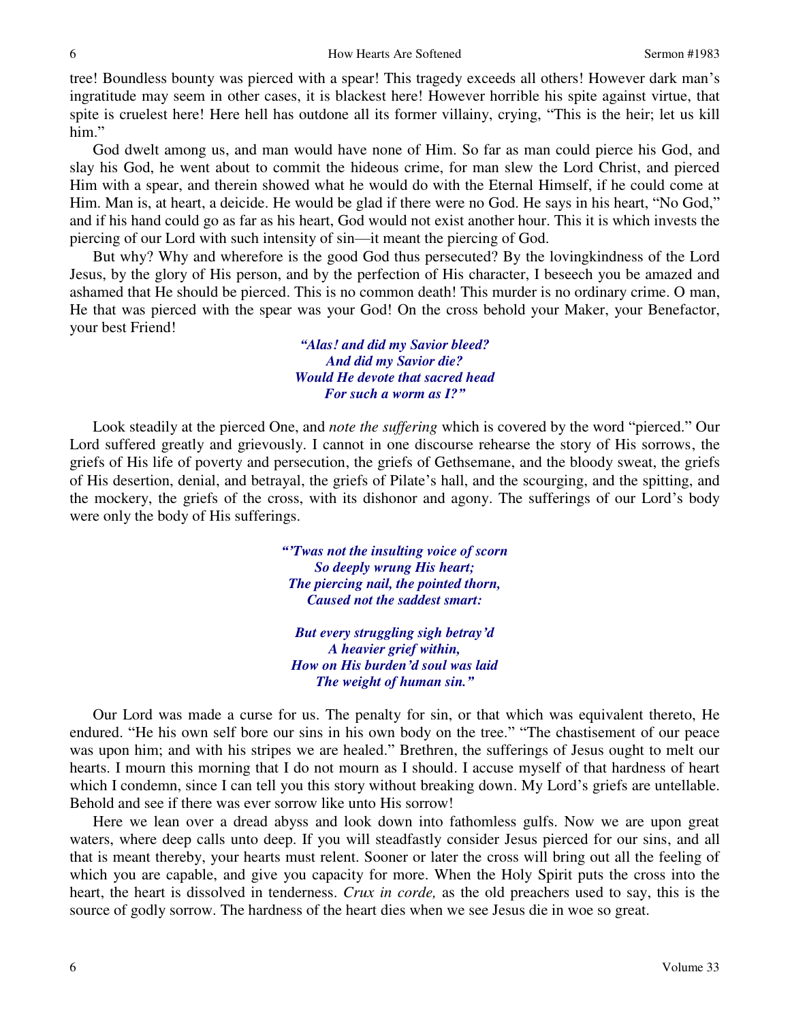tree! Boundless bounty was pierced with a spear! This tragedy exceeds all others! However dark man's ingratitude may seem in other cases, it is blackest here! However horrible his spite against virtue, that spite is cruelest here! Here hell has outdone all its former villainy, crying, "This is the heir; let us kill him."

God dwelt among us, and man would have none of Him. So far as man could pierce his God, and slay his God, he went about to commit the hideous crime, for man slew the Lord Christ, and pierced Him with a spear, and therein showed what he would do with the Eternal Himself, if he could come at Him. Man is, at heart, a deicide. He would be glad if there were no God. He says in his heart, "No God," and if his hand could go as far as his heart, God would not exist another hour. This it is which invests the piercing of our Lord with such intensity of sin—it meant the piercing of God.

But why? Why and wherefore is the good God thus persecuted? By the lovingkindness of the Lord Jesus, by the glory of His person, and by the perfection of His character, I beseech you be amazed and ashamed that He should be pierced. This is no common death! This murder is no ordinary crime. O man, He that was pierced with the spear was your God! On the cross behold your Maker, your Benefactor, your best Friend!

> *"Alas! and did my Savior bleed? And did my Savior die? Would He devote that sacred head For such a worm as I?"*

 Look steadily at the pierced One, and *note the suffering* which is covered by the word "pierced." Our Lord suffered greatly and grievously. I cannot in one discourse rehearse the story of His sorrows, the griefs of His life of poverty and persecution, the griefs of Gethsemane, and the bloody sweat, the griefs of His desertion, denial, and betrayal, the griefs of Pilate's hall, and the scourging, and the spitting, and the mockery, the griefs of the cross, with its dishonor and agony. The sufferings of our Lord's body were only the body of His sufferings.

> *"'Twas not the insulting voice of scorn So deeply wrung His heart; The piercing nail, the pointed thorn, Caused not the saddest smart:*

*But every struggling sigh betray'd A heavier grief within, How on His burden'd soul was laid The weight of human sin."*

Our Lord was made a curse for us. The penalty for sin, or that which was equivalent thereto, He endured. "He his own self bore our sins in his own body on the tree." "The chastisement of our peace was upon him; and with his stripes we are healed." Brethren, the sufferings of Jesus ought to melt our hearts. I mourn this morning that I do not mourn as I should. I accuse myself of that hardness of heart which I condemn, since I can tell you this story without breaking down. My Lord's griefs are untellable. Behold and see if there was ever sorrow like unto His sorrow!

Here we lean over a dread abyss and look down into fathomless gulfs. Now we are upon great waters, where deep calls unto deep. If you will steadfastly consider Jesus pierced for our sins, and all that is meant thereby, your hearts must relent. Sooner or later the cross will bring out all the feeling of which you are capable, and give you capacity for more. When the Holy Spirit puts the cross into the heart, the heart is dissolved in tenderness. *Crux in corde,* as the old preachers used to say, this is the source of godly sorrow. The hardness of the heart dies when we see Jesus die in woe so great.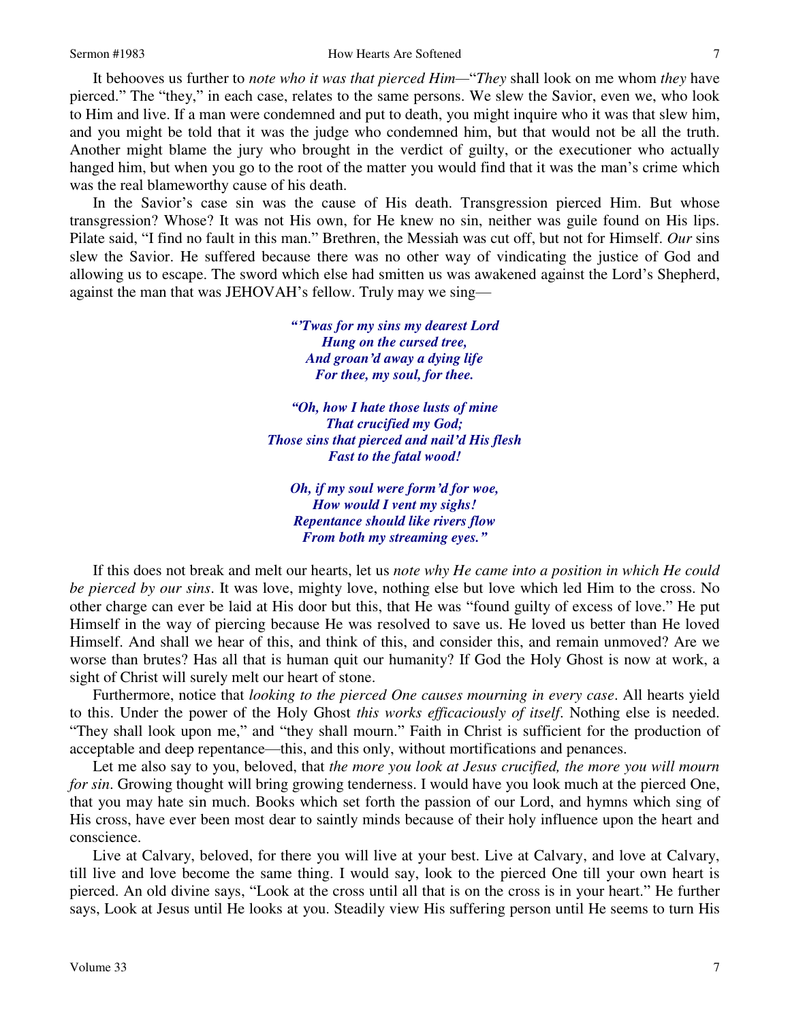### Sermon #1983 **Sermon #1983** How Hearts Are Softened 7

It behooves us further to *note who it was that pierced Him—*"*They* shall look on me whom *they* have pierced." The "they," in each case, relates to the same persons. We slew the Savior, even we, who look to Him and live. If a man were condemned and put to death, you might inquire who it was that slew him, and you might be told that it was the judge who condemned him, but that would not be all the truth. Another might blame the jury who brought in the verdict of guilty, or the executioner who actually hanged him, but when you go to the root of the matter you would find that it was the man's crime which was the real blameworthy cause of his death.

In the Savior's case sin was the cause of His death. Transgression pierced Him. But whose transgression? Whose? It was not His own, for He knew no sin, neither was guile found on His lips. Pilate said, "I find no fault in this man." Brethren, the Messiah was cut off, but not for Himself. *Our* sins slew the Savior. He suffered because there was no other way of vindicating the justice of God and allowing us to escape. The sword which else had smitten us was awakened against the Lord's Shepherd, against the man that was JEHOVAH's fellow. Truly may we sing—

> *"'Twas for my sins my dearest Lord Hung on the cursed tree, And groan'd away a dying life For thee, my soul, for thee.*

*"Oh, how I hate those lusts of mine That crucified my God; Those sins that pierced and nail'd His flesh Fast to the fatal wood!* 

*Oh, if my soul were form'd for woe, How would I vent my sighs! Repentance should like rivers flow From both my streaming eyes."*

If this does not break and melt our hearts, let us *note why He came into a position in which He could be pierced by our sins*. It was love, mighty love, nothing else but love which led Him to the cross. No other charge can ever be laid at His door but this, that He was "found guilty of excess of love." He put Himself in the way of piercing because He was resolved to save us. He loved us better than He loved Himself. And shall we hear of this, and think of this, and consider this, and remain unmoved? Are we worse than brutes? Has all that is human quit our humanity? If God the Holy Ghost is now at work, a sight of Christ will surely melt our heart of stone.

Furthermore, notice that *looking to the pierced One causes mourning in every case*. All hearts yield to this. Under the power of the Holy Ghost *this works efficaciously of itself*. Nothing else is needed. "They shall look upon me," and "they shall mourn." Faith in Christ is sufficient for the production of acceptable and deep repentance—this, and this only, without mortifications and penances.

Let me also say to you, beloved, that *the more you look at Jesus crucified, the more you will mourn for sin*. Growing thought will bring growing tenderness. I would have you look much at the pierced One, that you may hate sin much. Books which set forth the passion of our Lord, and hymns which sing of His cross, have ever been most dear to saintly minds because of their holy influence upon the heart and conscience.

Live at Calvary, beloved, for there you will live at your best. Live at Calvary, and love at Calvary, till live and love become the same thing. I would say, look to the pierced One till your own heart is pierced. An old divine says, "Look at the cross until all that is on the cross is in your heart." He further says, Look at Jesus until He looks at you. Steadily view His suffering person until He seems to turn His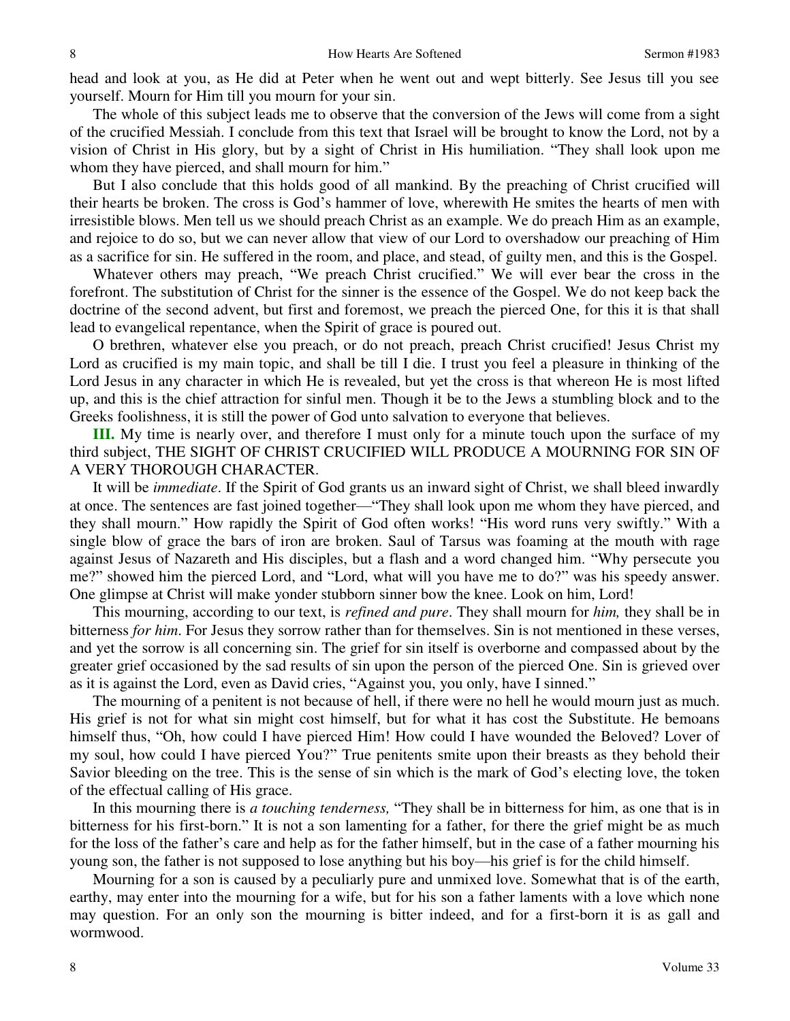head and look at you, as He did at Peter when he went out and wept bitterly. See Jesus till you see yourself. Mourn for Him till you mourn for your sin.

The whole of this subject leads me to observe that the conversion of the Jews will come from a sight of the crucified Messiah. I conclude from this text that Israel will be brought to know the Lord, not by a vision of Christ in His glory, but by a sight of Christ in His humiliation. "They shall look upon me whom they have pierced, and shall mourn for him."

But I also conclude that this holds good of all mankind. By the preaching of Christ crucified will their hearts be broken. The cross is God's hammer of love, wherewith He smites the hearts of men with irresistible blows. Men tell us we should preach Christ as an example. We do preach Him as an example, and rejoice to do so, but we can never allow that view of our Lord to overshadow our preaching of Him as a sacrifice for sin. He suffered in the room, and place, and stead, of guilty men, and this is the Gospel.

Whatever others may preach, "We preach Christ crucified." We will ever bear the cross in the forefront. The substitution of Christ for the sinner is the essence of the Gospel. We do not keep back the doctrine of the second advent, but first and foremost, we preach the pierced One, for this it is that shall lead to evangelical repentance, when the Spirit of grace is poured out.

O brethren, whatever else you preach, or do not preach, preach Christ crucified! Jesus Christ my Lord as crucified is my main topic, and shall be till I die. I trust you feel a pleasure in thinking of the Lord Jesus in any character in which He is revealed, but yet the cross is that whereon He is most lifted up, and this is the chief attraction for sinful men. Though it be to the Jews a stumbling block and to the Greeks foolishness, it is still the power of God unto salvation to everyone that believes.

**III.** My time is nearly over, and therefore I must only for a minute touch upon the surface of my third subject, THE SIGHT OF CHRIST CRUCIFIED WILL PRODUCE A MOURNING FOR SIN OF A VERY THOROUGH CHARACTER.

It will be *immediate*. If the Spirit of God grants us an inward sight of Christ, we shall bleed inwardly at once. The sentences are fast joined together—"They shall look upon me whom they have pierced, and they shall mourn." How rapidly the Spirit of God often works! "His word runs very swiftly." With a single blow of grace the bars of iron are broken. Saul of Tarsus was foaming at the mouth with rage against Jesus of Nazareth and His disciples, but a flash and a word changed him. "Why persecute you me?" showed him the pierced Lord, and "Lord, what will you have me to do?" was his speedy answer. One glimpse at Christ will make yonder stubborn sinner bow the knee. Look on him, Lord!

This mourning, according to our text, is *refined and pure*. They shall mourn for *him,* they shall be in bitterness *for him*. For Jesus they sorrow rather than for themselves. Sin is not mentioned in these verses, and yet the sorrow is all concerning sin. The grief for sin itself is overborne and compassed about by the greater grief occasioned by the sad results of sin upon the person of the pierced One. Sin is grieved over as it is against the Lord, even as David cries, "Against you, you only, have I sinned."

The mourning of a penitent is not because of hell, if there were no hell he would mourn just as much. His grief is not for what sin might cost himself, but for what it has cost the Substitute. He bemoans himself thus, "Oh, how could I have pierced Him! How could I have wounded the Beloved? Lover of my soul, how could I have pierced You?" True penitents smite upon their breasts as they behold their Savior bleeding on the tree. This is the sense of sin which is the mark of God's electing love, the token of the effectual calling of His grace.

In this mourning there is *a touching tenderness,* "They shall be in bitterness for him, as one that is in bitterness for his first-born." It is not a son lamenting for a father, for there the grief might be as much for the loss of the father's care and help as for the father himself, but in the case of a father mourning his young son, the father is not supposed to lose anything but his boy—his grief is for the child himself.

Mourning for a son is caused by a peculiarly pure and unmixed love. Somewhat that is of the earth, earthy, may enter into the mourning for a wife, but for his son a father laments with a love which none may question. For an only son the mourning is bitter indeed, and for a first-born it is as gall and wormwood.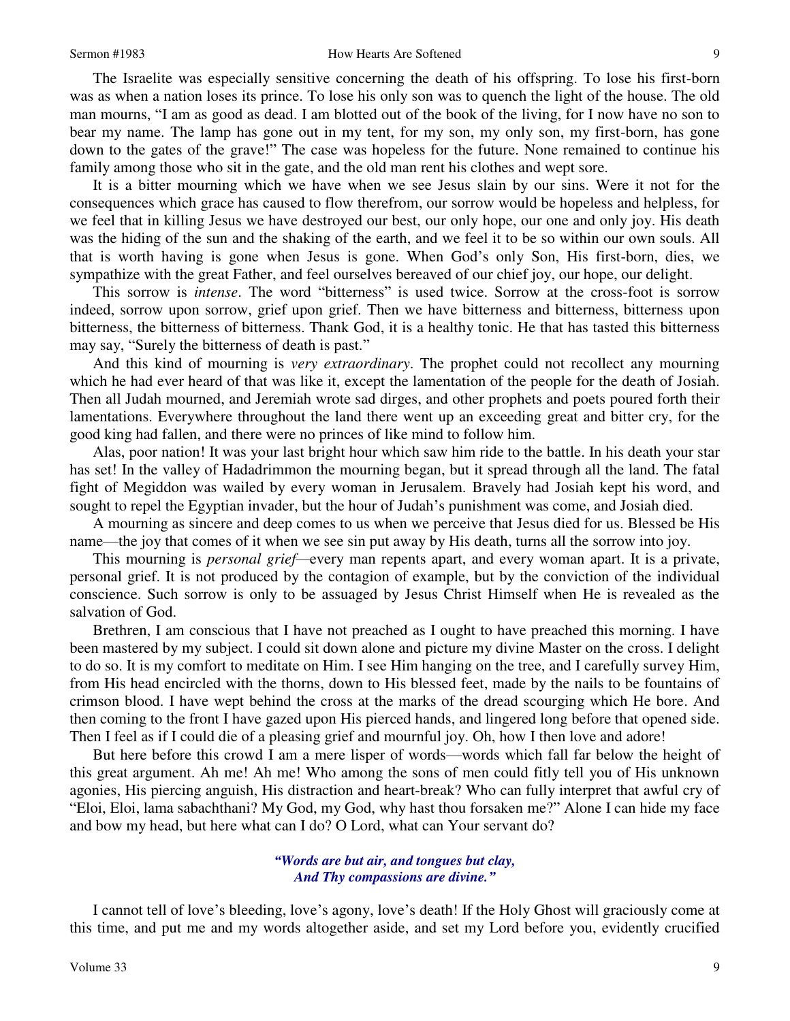#### Sermon #1983 **How Hearts Are Softened** 9

The Israelite was especially sensitive concerning the death of his offspring. To lose his first-born was as when a nation loses its prince. To lose his only son was to quench the light of the house. The old man mourns, "I am as good as dead. I am blotted out of the book of the living, for I now have no son to bear my name. The lamp has gone out in my tent, for my son, my only son, my first-born, has gone down to the gates of the grave!" The case was hopeless for the future. None remained to continue his

family among those who sit in the gate, and the old man rent his clothes and wept sore. It is a bitter mourning which we have when we see Jesus slain by our sins. Were it not for the consequences which grace has caused to flow therefrom, our sorrow would be hopeless and helpless, for we feel that in killing Jesus we have destroyed our best, our only hope, our one and only joy. His death was the hiding of the sun and the shaking of the earth, and we feel it to be so within our own souls. All that is worth having is gone when Jesus is gone. When God's only Son, His first-born, dies, we sympathize with the great Father, and feel ourselves bereaved of our chief joy, our hope, our delight.

This sorrow is *intense*. The word "bitterness" is used twice. Sorrow at the cross-foot is sorrow indeed, sorrow upon sorrow, grief upon grief. Then we have bitterness and bitterness, bitterness upon bitterness, the bitterness of bitterness. Thank God, it is a healthy tonic. He that has tasted this bitterness may say, "Surely the bitterness of death is past."

And this kind of mourning is *very extraordinary*. The prophet could not recollect any mourning which he had ever heard of that was like it, except the lamentation of the people for the death of Josiah. Then all Judah mourned, and Jeremiah wrote sad dirges, and other prophets and poets poured forth their lamentations. Everywhere throughout the land there went up an exceeding great and bitter cry, for the good king had fallen, and there were no princes of like mind to follow him.

Alas, poor nation! It was your last bright hour which saw him ride to the battle. In his death your star has set! In the valley of Hadadrimmon the mourning began, but it spread through all the land. The fatal fight of Megiddon was wailed by every woman in Jerusalem. Bravely had Josiah kept his word, and sought to repel the Egyptian invader, but the hour of Judah's punishment was come, and Josiah died.

A mourning as sincere and deep comes to us when we perceive that Jesus died for us. Blessed be His name—the joy that comes of it when we see sin put away by His death, turns all the sorrow into joy.

This mourning is *personal grief—*every man repents apart, and every woman apart. It is a private, personal grief. It is not produced by the contagion of example, but by the conviction of the individual conscience. Such sorrow is only to be assuaged by Jesus Christ Himself when He is revealed as the salvation of God.

Brethren, I am conscious that I have not preached as I ought to have preached this morning. I have been mastered by my subject. I could sit down alone and picture my divine Master on the cross. I delight to do so. It is my comfort to meditate on Him. I see Him hanging on the tree, and I carefully survey Him, from His head encircled with the thorns, down to His blessed feet, made by the nails to be fountains of crimson blood. I have wept behind the cross at the marks of the dread scourging which He bore. And then coming to the front I have gazed upon His pierced hands, and lingered long before that opened side. Then I feel as if I could die of a pleasing grief and mournful joy. Oh, how I then love and adore!

But here before this crowd I am a mere lisper of words—words which fall far below the height of this great argument. Ah me! Ah me! Who among the sons of men could fitly tell you of His unknown agonies, His piercing anguish, His distraction and heart-break? Who can fully interpret that awful cry of "Eloi, Eloi, lama sabachthani? My God, my God, why hast thou forsaken me?" Alone I can hide my face and bow my head, but here what can I do? O Lord, what can Your servant do?

## *"Words are but air, and tongues but clay, And Thy compassions are divine."*

I cannot tell of love's bleeding, love's agony, love's death! If the Holy Ghost will graciously come at this time, and put me and my words altogether aside, and set my Lord before you, evidently crucified